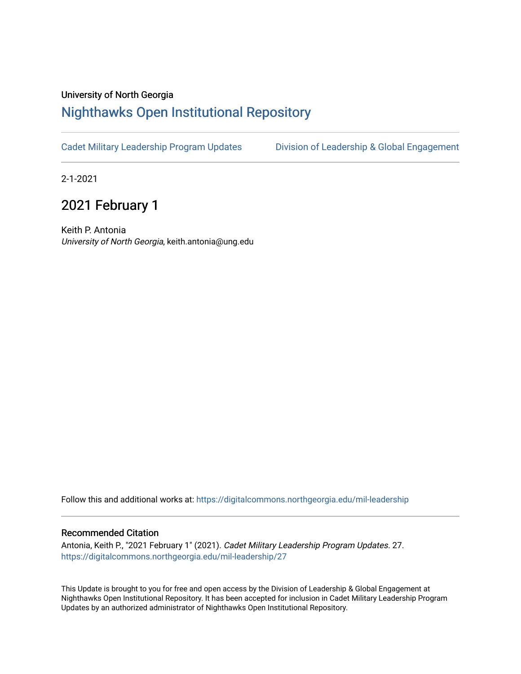## University of North Georgia

## [Nighthawks Open Institutional Repository](https://digitalcommons.northgeorgia.edu/)

[Cadet Military Leadership Program Updates](https://digitalcommons.northgeorgia.edu/mil-leadership) [Division of Leadership & Global Engagement](https://digitalcommons.northgeorgia.edu/leadership) 

2-1-2021

# 2021 February 1

Keith P. Antonia University of North Georgia, keith.antonia@ung.edu

Follow this and additional works at: [https://digitalcommons.northgeorgia.edu/mil-leadership](https://digitalcommons.northgeorgia.edu/mil-leadership?utm_source=digitalcommons.northgeorgia.edu%2Fmil-leadership%2F27&utm_medium=PDF&utm_campaign=PDFCoverPages) 

#### Recommended Citation

Antonia, Keith P., "2021 February 1" (2021). Cadet Military Leadership Program Updates. 27. [https://digitalcommons.northgeorgia.edu/mil-leadership/27](https://digitalcommons.northgeorgia.edu/mil-leadership/27?utm_source=digitalcommons.northgeorgia.edu%2Fmil-leadership%2F27&utm_medium=PDF&utm_campaign=PDFCoverPages)

This Update is brought to you for free and open access by the Division of Leadership & Global Engagement at Nighthawks Open Institutional Repository. It has been accepted for inclusion in Cadet Military Leadership Program Updates by an authorized administrator of Nighthawks Open Institutional Repository.